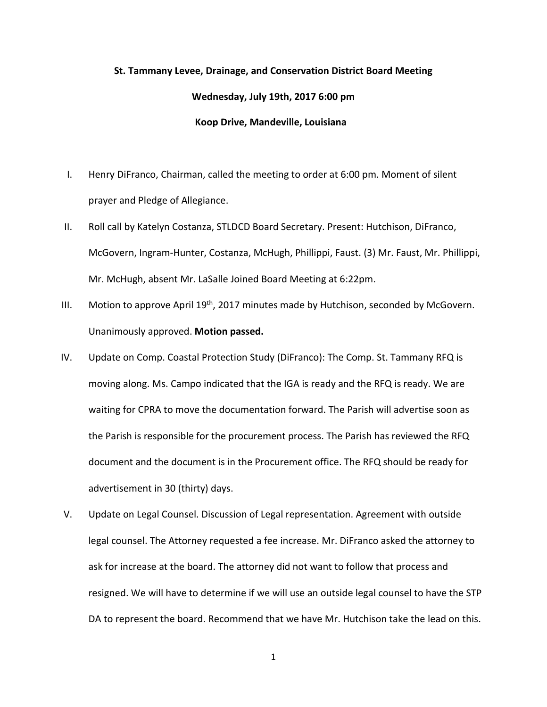## **St. Tammany Levee, Drainage, and Conservation District Board Meeting Wednesday, July 19th, 2017 6:00 pm Koop Drive, Mandeville, Louisiana**

- I. Henry DiFranco, Chairman, called the meeting to order at 6:00 pm. Moment of silent prayer and Pledge of Allegiance.
- II. Roll call by Katelyn Costanza, STLDCD Board Secretary. Present: Hutchison, DiFranco, McGovern, Ingram-Hunter, Costanza, McHugh, Phillippi, Faust. (3) Mr. Faust, Mr. Phillippi, Mr. McHugh, absent Mr. LaSalle Joined Board Meeting at 6:22pm.
- III. Motion to approve April  $19<sup>th</sup>$ , 2017 minutes made by Hutchison, seconded by McGovern. Unanimously approved. **Motion passed.**
- IV. Update on Comp. Coastal Protection Study (DiFranco): The Comp. St. Tammany RFQ is moving along. Ms. Campo indicated that the IGA is ready and the RFQ is ready. We are waiting for CPRA to move the documentation forward. The Parish will advertise soon as the Parish is responsible for the procurement process. The Parish has reviewed the RFQ document and the document is in the Procurement office. The RFQ should be ready for advertisement in 30 (thirty) days.
- V. Update on Legal Counsel. Discussion of Legal representation. Agreement with outside legal counsel. The Attorney requested a fee increase. Mr. DiFranco asked the attorney to ask for increase at the board. The attorney did not want to follow that process and resigned. We will have to determine if we will use an outside legal counsel to have the STP DA to represent the board. Recommend that we have Mr. Hutchison take the lead on this.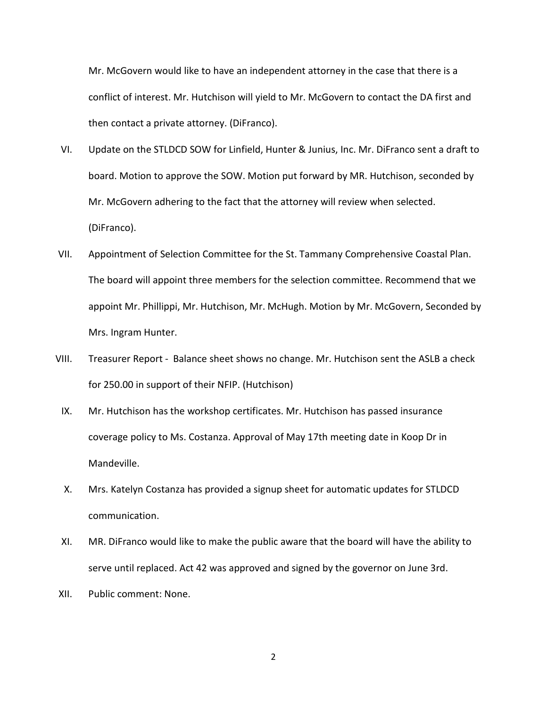Mr. McGovern would like to have an independent attorney in the case that there is a conflict of interest. Mr. Hutchison will yield to Mr. McGovern to contact the DA first and then contact a private attorney. (DiFranco).

- VI. Update on the STLDCD SOW for Linfield, Hunter & Junius, Inc. Mr. DiFranco sent a draft to board. Motion to approve the SOW. Motion put forward by MR. Hutchison, seconded by Mr. McGovern adhering to the fact that the attorney will review when selected. (DiFranco).
- VII. Appointment of Selection Committee for the St. Tammany Comprehensive Coastal Plan. The board will appoint three members for the selection committee. Recommend that we appoint Mr. Phillippi, Mr. Hutchison, Mr. McHugh. Motion by Mr. McGovern, Seconded by Mrs. Ingram Hunter.
- VIII. Treasurer Report Balance sheet shows no change. Mr. Hutchison sent the ASLB a check for 250.00 in support of their NFIP. (Hutchison)
	- IX. Mr. Hutchison has the workshop certificates. Mr. Hutchison has passed insurance coverage policy to Ms. Costanza. Approval of May 17th meeting date in Koop Dr in Mandeville.
	- X. Mrs. Katelyn Costanza has provided a signup sheet for automatic updates for STLDCD communication.
	- XI. MR. DiFranco would like to make the public aware that the board will have the ability to serve until replaced. Act 42 was approved and signed by the governor on June 3rd.
- XII. Public comment: None.

2